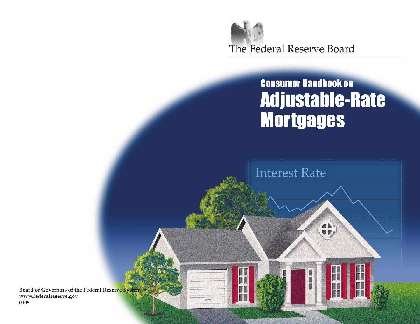

The Federal Reserve Board

# Consumer Handbook on Adjustable-Rate **Mortgages**

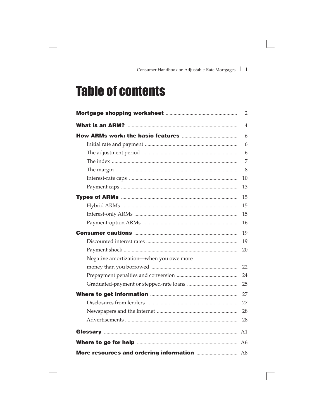# **Table of contents**

|                                         | $\overline{2}$ |
|-----------------------------------------|----------------|
|                                         | $\overline{4}$ |
|                                         | 6              |
|                                         | 6              |
|                                         | 6              |
|                                         | 7              |
|                                         | 8              |
|                                         | 10             |
|                                         | 13             |
|                                         | 15             |
|                                         | 15             |
|                                         | 15             |
|                                         | 16             |
|                                         | 19             |
|                                         | 19             |
|                                         | 20             |
| Negative amortization-when you owe more |                |
|                                         | 22             |
|                                         | 24             |
|                                         | 25             |
|                                         | 27             |
|                                         | 27             |
|                                         | 28             |
|                                         | 28             |
|                                         | A1             |
|                                         | A6             |
|                                         |                |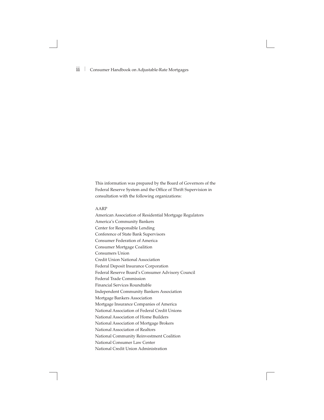This information was prepared by the Board of Governors of the Federal Reserve System and the Office of Thrift Supervision in consultation with the following organizations:

#### AARP

 American Association of Residential Mortgage Regulators America's Community Bankers Center for Responsible Lending Conference of State Bank Supervisors Consumer Federation of America Consumer Mortgage Coalition Consumers Union Credit Union National Association Federal Deposit Insurance Corporation Federal Reserve Board's Consumer Advisory Council Federal Trade Commission Financial Services Roundtable Independent Community Bankers Association Mortgage Bankers Association Mortgage Insurance Companies of America National Association of Federal Credit Unions National Association of Home Builders National Association of Mortgage Brokers National Association of Realtors National Community Reinvestment Coalition National Consumer Law Center National Credit Union Administration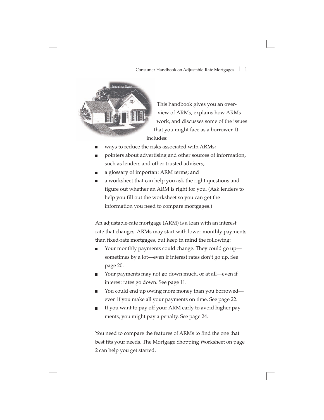

This handbook gives you an overview of ARMs, explains how ARMs work, and discusses some of the issues that you might face as a borrower. It includes:

- ways to reduce the risks associated with ARMs;
- pointers about advertising and other sources of information, such as lenders and other trusted advisers;
- **a** a glossary of important ARM terms; and
- a worksheet that can help you ask the right questions and figure out whether an ARM is right for you. (Ask lenders to help you fill out the worksheet so you can get the information you need to compare mortgages.)

An adjustable-rate mortgage (ARM) is a loan with an interest rate that changes. ARMs may start with lower monthly payments than fixed-rate mortgages, but keep in mind the following:

- Your monthly payments could change. They could go upsometimes by a lot—even if interest rates don't go up. See page 20.
- Your payments may not go down much, or at all—even if interest rates go down. See page 11.
- You could end up owing more money than you borrowed even if you make all your payments on time. See page 22.
- If you want to pay off your ARM early to avoid higher payments, you might pay a penalty. See page 24.

You need to compare the features of ARMs to find the one that best fits your needs. The Mortgage Shopping Worksheet on page 2 can help you get started.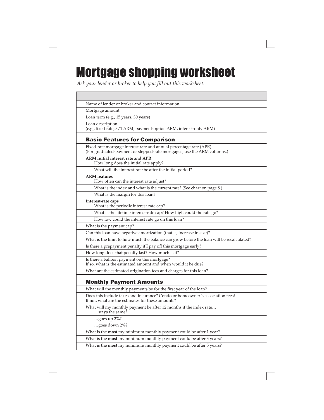# **Mortgage shopping worksheet**

*Ask your lender or broker to help you fill out this worksheet.*

| Name of lender or broker and contact information                                                                                              |                                                                                          |
|-----------------------------------------------------------------------------------------------------------------------------------------------|------------------------------------------------------------------------------------------|
| Mortgage amount                                                                                                                               |                                                                                          |
| Loan term (e.g., 15 years, 30 years)                                                                                                          |                                                                                          |
| Loan description<br>(e.g., fixed rate, 3/1 ARM, payment-option ARM, interest-only ARM)                                                        |                                                                                          |
| <b>Basic Features for Comparison</b>                                                                                                          |                                                                                          |
| Fixed-rate mortgage interest rate and annual percentage rate (APR)<br>(For graduated-payment or stepped-rate mortgages, use the ARM columns.) |                                                                                          |
| ARM initial interest rate and APR<br>How long does the initial rate apply?                                                                    |                                                                                          |
| What will the interest rate be after the initial period?                                                                                      |                                                                                          |
| <b>ARM</b> features<br>How often can the interest rate adjust?                                                                                |                                                                                          |
| What is the index and what is the current rate? (See chart on page 8.)                                                                        |                                                                                          |
| What is the margin for this loan?                                                                                                             |                                                                                          |
| Interest-rate caps<br>What is the periodic interest-rate cap?                                                                                 |                                                                                          |
| What is the lifetime interest-rate cap? How high could the rate go?                                                                           |                                                                                          |
| How low could the interest rate go on this loan?                                                                                              |                                                                                          |
| What is the payment cap?                                                                                                                      |                                                                                          |
| Can this loan have negative amortization (that is, increase in size)?                                                                         |                                                                                          |
|                                                                                                                                               | What is the limit to how much the balance can grow before the loan will be recalculated? |
| Is there a prepayment penalty if I pay off this mortgage early?                                                                               |                                                                                          |
| How long does that penalty last? How much is it?                                                                                              |                                                                                          |
| Is there a balloon payment on this mortgage?<br>If so, what is the estimated amount and when would it be due?                                 |                                                                                          |
| What are the estimated origination fees and charges for this loan?                                                                            |                                                                                          |
| <b>Monthly Payment Amounts</b>                                                                                                                |                                                                                          |
| What will the monthly payments be for the first year of the loan?                                                                             |                                                                                          |
| If not, what are the estimates for these amounts?                                                                                             | Does this include taxes and insurance? Condo or homeowner's association fees?            |
| What will my monthly payment be after 12 months if the index rate<br>stays the same?                                                          |                                                                                          |
| goes up $2\%$ ?                                                                                                                               |                                                                                          |
| goes down 2%?                                                                                                                                 |                                                                                          |
| What is the most my minimum monthly payment could be after 1 year?                                                                            |                                                                                          |
| What is the most my minimum monthly payment could be after 3 years?                                                                           |                                                                                          |

What is the **most** my minimum monthly payment could be after 5 years?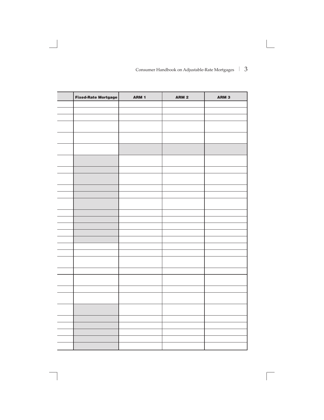| <b>Fixed-Rate Mortgage</b> | ARM 1 | <b>ARM 2</b> | ARM <sub>3</sub> |
|----------------------------|-------|--------------|------------------|
|                            |       |              |                  |
|                            |       |              |                  |
|                            |       |              |                  |
|                            |       |              |                  |
|                            |       |              |                  |
|                            |       |              |                  |
|                            |       |              |                  |
|                            |       |              |                  |
|                            |       |              |                  |
|                            |       |              |                  |
|                            |       |              |                  |
|                            |       |              |                  |
|                            |       |              |                  |
|                            |       |              |                  |
|                            |       |              |                  |
|                            |       |              |                  |
|                            |       |              |                  |
|                            |       |              |                  |
|                            |       |              |                  |
|                            |       |              |                  |
|                            |       |              |                  |
|                            |       |              |                  |
|                            |       |              |                  |
|                            |       |              |                  |
|                            |       |              |                  |
|                            |       |              |                  |
|                            |       |              |                  |
|                            |       |              |                  |
|                            |       |              |                  |
|                            |       |              |                  |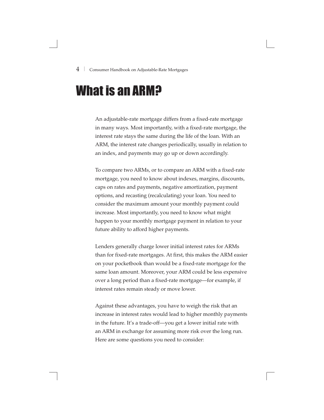# What is an ARM?

 An adjustable-rate mortgage differs from a fixed-rate mortgage in many ways. Most importantly, with a fixed-rate mortgage, the interest rate stays the same during the life of the loan. With an ARM, the interest rate changes periodically, usually in relation to an index, and payments may go up or down accordingly.

 To compare two ARMs, or to compare an ARM with a fixed-rate mortgage, you need to know about indexes, margins, discounts, caps on rates and payments, negative amortization, payment options, and recasting (recalculating) your loan. You need to consider the maximum amount your monthly payment could increase. Most importantly, you need to know what might happen to your monthly mortgage payment in relation to your future ability to afford higher payments.

 Lenders generally charge lower initial interest rates for ARMs than for fixed-rate mortgages. At first, this makes the ARM easier on your pocketbook than would be a fixed-rate mortgage for the same loan amount. Moreover, your ARM could be less expensive over a long period than a fixed-rate mortgage—for example, if interest rates remain steady or move lower.

 Against these advantages, you have to weigh the risk that an increase in interest rates would lead to higher monthly payments in the future. It's a trade-off—you get a lower initial rate with an ARM in exchange for assuming more risk over the long run. Here are some questions you need to consider: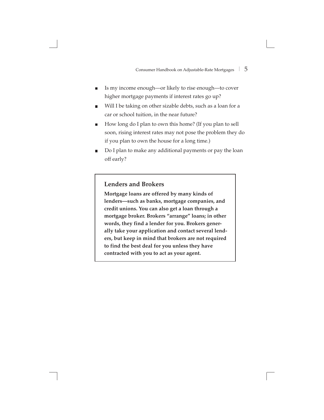- Is my income enough—or likely to rise enough—to cover higher mortgage payments if interest rates go up?
- Will I be taking on other sizable debts, such as a loan for a car or school tuition, in the near future?
- How long do I plan to own this home? (If you plan to sell soon, rising interest rates may not pose the problem they do if you plan to own the house for a long time.)
- Do I plan to make any additional payments or pay the loan off early?

### **Lenders and Brokers**

**Mortgage loans are offered by many kinds of lenders—such as banks, mortgage companies, and credit unions. You can also get a loan through a mortgage broker. Brokers "arrange" loans; in other words, they find a lender for you. Brokers generally take your application and contact several lenders, but keep in mind that brokers are not required to find the best deal for you unless they have contracted with you to act as your agent.**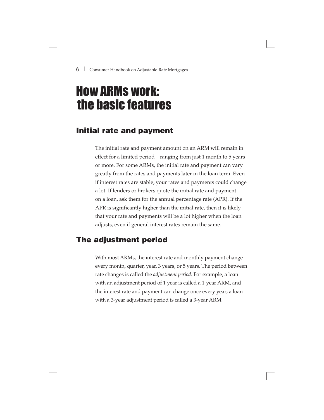# How ARMs work: the basic features

## **Initial rate and payment**

 The initial rate and payment amount on an ARM will remain in effect for a limited period—ranging from just 1 month to 5 years or more. For some ARMs, the initial rate and payment can vary greatly from the rates and payments later in the loan term. Even if interest rates are stable, your rates and payments could change a lot. If lenders or brokers quote the initial rate and payment on a loan, ask them for the annual percentage rate (APR). If the APR is significantly higher than the initial rate, then it is likely that your rate and payments will be a lot higher when the loan adjusts, even if general interest rates remain the same.

## **The adjustment period**

 With most ARMs, the interest rate and monthly payment change every month, quarter, year, 3 years, or 5 years. The period between rate changes is called the *adjustment period*. For example, a loan with an adjustment period of 1 year is called a 1-year ARM, and the interest rate and payment can change once every year; a loan with a 3-year adjustment period is called a 3-year ARM.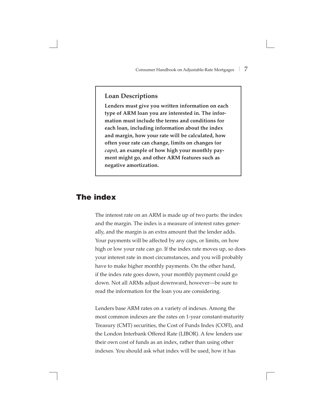### **Loan Descriptions**

**Lenders must give you written information on each type of ARM loan you are interested in. The information must include the terms and conditions for each loan, including information about the index and margin, how your rate will be calculated, how often your rate can change, limits on changes (or**  *caps***), an example of how high your monthly payment might go, and other ARM features such as negative amortization.**

## **The index**

 The interest rate on an ARM is made up of two parts: the index and the margin. The index is a measure of interest rates generally, and the margin is an extra amount that the lender adds. Your payments will be affected by any caps, or limits, on how high or low your rate can go. If the index rate moves up, so does your interest rate in most circumstances, and you will probably have to make higher monthly payments. On the other hand, if the index rate goes down, your monthly payment could go down. Not all ARMs adjust downward, however—be sure to read the information for the loan you are considering.

 Lenders base ARM rates on a variety of indexes. Among the most common indexes are the rates on 1-year constant-maturity Treasury (CMT) securities, the Cost of Funds Index (COFI), and the London Interbank Offered Rate (LIBOR). A few lenders use their own cost of funds as an index, rather than using other indexes. You should ask what index will be used, how it has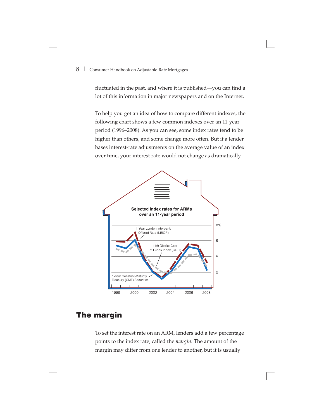fluctuated in the past, and where it is published—you can find a lot of this information in major newspapers and on the Internet.

 To help you get an idea of how to compare different indexes, the following chart shows a few common indexes over an 11-year period (1996–2008). As you can see, some index rates tend to be higher than others, and some change more often. But if a lender bases interest-rate adjustments on the average value of an index over time, your interest rate would not change as dramatically.



## **The margin**

 To set the interest rate on an ARM, lenders add a few percentage points to the index rate, called the *margin*. The amount of the margin may differ from one lender to another, but it is usually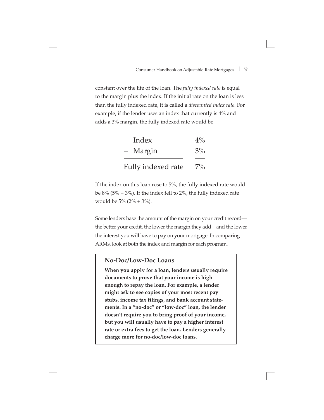constant over the life of the loan. The *fully indexed rate* is equal to the margin plus the index. If the initial rate on the loan is less than the fully indexed rate, it is called a *discounted index rate*. For example, if the lender uses an index that currently is 4% and adds a 3% margin, the fully indexed rate would be

| Index              | $4\%$ |
|--------------------|-------|
| + Margin           | 3%    |
| Fully indexed rate | $7\%$ |

 If the index on this loan rose to 5%, the fully indexed rate would be  $8\%$  (5% + 3%). If the index fell to 2%, the fully indexed rate would be 5% (2% + 3%).

 Some lenders base the amount of the margin on your credit record the better your credit, the lower the margin they add—and the lower the interest you will have to pay on your mortgage. In comparing ARMs, look at both the index and margin for each program.

### **No-Doc/Low-Doc Loans**

**When you apply for a loan, lenders usually require documents to prove that your income is high enough to repay the loan. For example, a lender might ask to see copies of your most recent pay stubs, income tax filings, and bank account statements. In a "no-doc" or "low-doc" loan, the lender doesn't require you to bring proof of your income, but you will usually have to pay a higher interest rate or extra fees to get the loan. Lenders generally charge more for no-doc/low-doc loans.**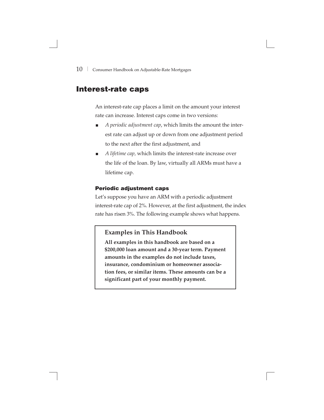## **Interest-rate caps**

 An interest-rate cap places a limit on the amount your interest rate can increase. Interest caps come in two versions:

- *A periodic adjustment cap*, which limits the amount the inter- $\blacksquare$ est rate can adjust up or down from one adjustment period to the next after the first adjustment, and
- *A lifetime cap,* which limits the interest-rate increase over  $\blacksquare$ the life of the loan. By law, virtually all ARMs must have a lifetime cap.

#### **Periodic adjustment caps**

 Let's suppose you have an ARM with a periodic adjustment interest-rate cap of 2%. However, at the first adjustment, the index rate has risen 3%. The following example shows what happens.

### **Examples in This Handbook**

**All examples in this handbook are based on a \$200,000 loan amount and a 30-year term. Payment amounts in the examples do not include taxes, insurance, condominium or homeowner association fees, or similar items. These amounts can be a significant part of your monthly payment.**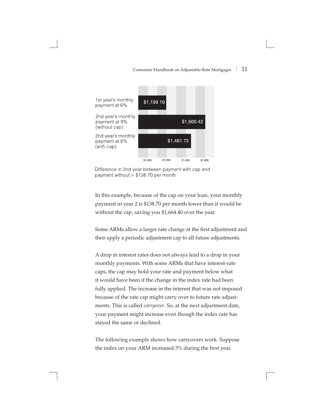

Difference in 2nd year between payment with cap and payment without =  $$138.70$  per month

 In this example, because of the cap on your loan, your monthly payment in year 2 is \$138.70 per month lower than it would be without the cap, saving you \$1,664.40 over the year.

 Some ARMs allow a larger rate change at the first adjustment and then apply a periodic adjustment cap to all future adjustments.

 A drop in interest rates does not always lead to a drop in your monthly payments. With some ARMs that have interest-rate caps, the cap may hold your rate and payment below what it would have been if the change in the index rate had been fully applied. The increase in the interest that was not imposed because of the rate cap might carry over to future rate adjustments. This is called *carryover*. So, at the next adjustment date, your payment might increase even though the index rate has stayed the same or declined.

 The following example shows how carryovers work. Suppose the index on your ARM increased 3% during the first year.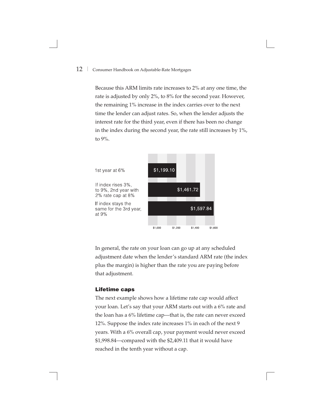Because this ARM limits rate increases to 2% at any one time, the rate is adjusted by only 2%, to 8% for the second year. However, the remaining 1% increase in the index carries over to the next time the lender can adjust rates. So, when the lender adjusts the interest rate for the third year, even if there has been no change in the index during the second year, the rate still increases by 1%, to 9%.



 In general, the rate on your loan can go up at any scheduled adjustment date when the lender's standard ARM rate (the index plus the margin) is higher than the rate you are paying before that adjustment.

### **Lifetime caps**

 The next example shows how a lifetime rate cap would affect your loan. Let's say that your ARM starts out with a 6% rate and the loan has a 6% lifetime cap—that is, the rate can never exceed 12%. Suppose the index rate increases 1% in each of the next 9 years. With a 6% overall cap, your payment would never exceed \$1,998.84—compared with the \$2,409.11 that it would have reached in the tenth year without a cap.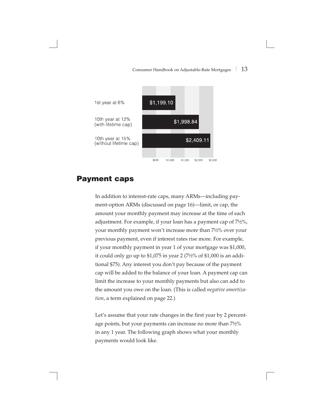

## **Payment caps**

 In addition to interest-rate caps, many ARMs—including payment-option ARMs (discussed on page 16)—limit, or cap, the amount your monthly payment may increase at the time of each adjustment. For example, if your loan has a payment cap of 7½%, your monthly payment won't increase more than 7½% over your previous payment, even if interest rates rise more. For example, if your monthly payment in year 1 of your mortgage was \$1,000, it could only go up to \$1,075 in year 2 (7½% of \$1,000 is an additional \$75). Any interest you don't pay because of the payment cap will be added to the balance of your loan. A payment cap can limit the increase to your monthly payments but also can add to the amount you owe on the loan. (This is called *negative amortization*, a term explained on page 22.)

 Let's assume that your rate changes in the first year by 2 percentage points, but your payments can increase no more than 7½% in any 1 year. The following graph shows what your monthly payments would look like.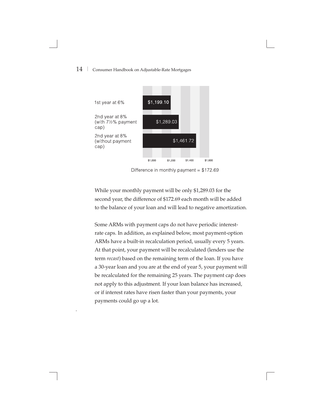

Difference in monthly payment =  $$172.69$ 

 While your monthly payment will be only \$1,289.03 for the second year, the difference of \$172.69 each month will be added to the balance of your loan and will lead to negative amortization.

 Some ARMs with payment caps do not have periodic interestrate caps. In addition, as explained below, most payment-option ARMs have a built-in recalculation period, usually every 5 years. At that point, your payment will be recalculated (lenders use the term *recast*) based on the remaining term of the loan. If you have a 30-year loan and you are at the end of year 5, your payment will be recalculated for the remaining 25 years. The payment cap does not apply to this adjustment. If your loan balance has increased, or if interest rates have risen faster than your payments, your payments could go up a lot.

.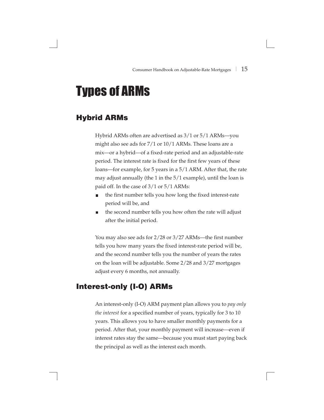# Types of ARMs

## **Hybrid ARMs**

 Hybrid ARMs often are advertised as 3/1 or 5/1 ARMs—you might also see ads for 7/1 or 10/1 ARMs. These loans are a mix—or a hybrid—of a fixed-rate period and an adjustable-rate period. The interest rate is fixed for the first few years of these loans—for example, for 5 years in a 5/1 ARM. After that, the rate may adjust annually (the 1 in the 5/1 example), until the loan is paid off. In the case of 3/1 or 5/1 ARMs:

- the first number tells you how long the fixed interest-rate period will be, and
- the second number tells you how often the rate will adjust after the initial period.

 You may also see ads for 2/28 or 3/27 ARMs—the first number tells you how many years the fixed interest-rate period will be, and the second number tells you the number of years the rates on the loan will be adjustable. Some 2/28 and 3/27 mortgages adjust every 6 months, not annually.

## **Interest-only (I-O) ARMs**

 An interest-only (I-O) ARM payment plan allows you to *pay only the interest* for a specified number of years, typically for 3 to 10 years. This allows you to have smaller monthly payments for a period. After that, your monthly payment will increase—even if interest rates stay the same—because you must start paying back the principal as well as the interest each month.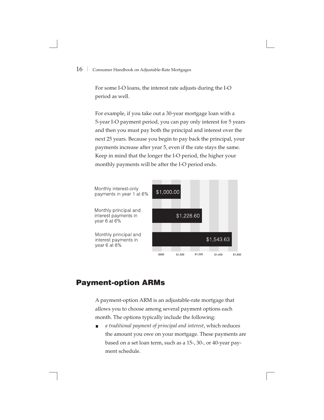For some I-O loans, the interest rate adjusts during the I-O period as well.

 For example, if you take out a 30-year mortgage loan with a 5-year I-O payment period, you can pay only interest for 5 years and then you must pay both the principal and interest over the next 25 years. Because you begin to pay back the principal, your payments increase after year 5, even if the rate stays the same. Keep in mind that the longer the I-O period, the higher your monthly payments will be after the I-O period ends.



## **Payment-option ARMs**

 A payment-option ARM is an adjustable-rate mortgage that allows you to choose among several payment options each month. The options typically include the following:

*a traditional payment of principal and interest*, which reduces the amount you owe on your mortgage. These payments are based on a set loan term, such as a 15-, 30-, or 40-year payment schedule.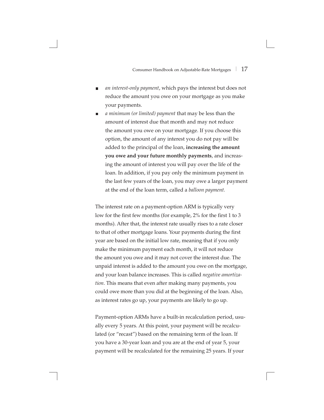- *an interest-only payment*, which pays the interest but does not reduce the amount you owe on your mortgage as you make your payments.
- *a minimum (or limited) payment* that may be less than the amount of interest due that month and may not reduce the amount you owe on your mortgage. If you choose this option, the amount of any interest you do not pay will be added to the principal of the loan, **increasing the amount you owe and your future monthly payments**, and increasing the amount of interest you will pay over the life of the loan. In addition, if you pay only the minimum payment in the last few years of the loan, you may owe a larger payment at the end of the loan term, called a *balloon payment.*

 The interest rate on a payment-option ARM is typically very low for the first few months (for example, 2% for the first 1 to 3 months). After that, the interest rate usually rises to a rate closer to that of other mortgage loans. Your payments during the first year are based on the initial low rate, meaning that if you only make the minimum payment each month, it will not reduce the amount you owe and it may not cover the interest due. The unpaid interest is added to the amount you owe on the mortgage, and your loan balance increases. This is called *negative amortization*. This means that even after making many payments, you could owe more than you did at the beginning of the loan. Also, as interest rates go up, your payments are likely to go up.

 Payment-option ARMs have a built-in recalculation period, usually every 5 years. At this point, your payment will be recalculated (or "recast") based on the remaining term of the loan. If you have a 30-year loan and you are at the end of year 5, your payment will be recalculated for the remaining 25 years. If your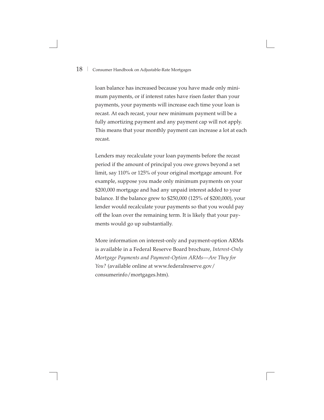loan balance has increased because you have made only minimum payments, or if interest rates have risen faster than your payments, your payments will increase each time your loan is recast. At each recast, your new minimum payment will be a fully amortizing payment and any payment cap will not apply. This means that your monthly payment can increase a lot at each recast.

 Lenders may recalculate your loan payments before the recast period if the amount of principal you owe grows beyond a set limit, say 110% or 125% of your original mortgage amount. For example, suppose you made only minimum payments on your \$200,000 mortgage and had any unpaid interest added to your balance. If the balance grew to \$250,000 (125% of \$200,000), your lender would recalculate your payments so that you would pay off the loan over the remaining term. It is likely that your payments would go up substantially.

 More information on interest-only and payment-option ARMs is available in a Federal Reserve Board brochure, *Interest-Only Mortgage Payments and Payment-Option ARMs—Are They for You?* (available online at www.federalreserve.gov/ consumerinfo/mortgages.htm).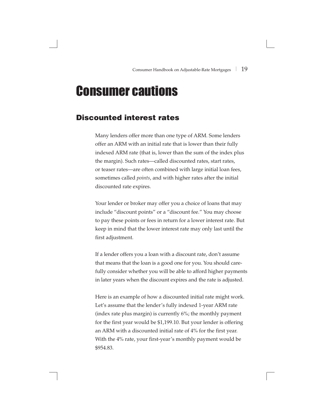# Consumer cautions

## **Discounted interest rates**

 Many lenders offer more than one type of ARM. Some lenders offer an ARM with an initial rate that is lower than their fully indexed ARM rate (that is, lower than the sum of the index plus the margin). Such rates—called discounted rates, start rates, or teaser rates—are often combined with large initial loan fees, sometimes called *points*, and with higher rates after the initial discounted rate expires.

 Your lender or broker may offer you a choice of loans that may include "discount points" or a "discount fee." You may choose to pay these points or fees in return for a lower interest rate. But keep in mind that the lower interest rate may only last until the first adjustment.

 If a lender offers you a loan with a discount rate, don't assume that means that the loan is a good one for you. You should carefully consider whether you will be able to afford higher payments in later years when the discount expires and the rate is adjusted.

 Here is an example of how a discounted initial rate might work. Let's assume that the lender's fully indexed 1-year ARM rate (index rate plus margin) is currently 6%; the monthly payment for the first year would be \$1,199.10. But your lender is offering an ARM with a discounted initial rate of 4% for the first year. With the 4% rate, your first-year's monthly payment would be \$954.83.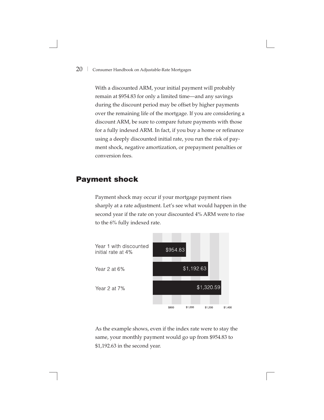With a discounted ARM, your initial payment will probably remain at \$954.83 for only a limited time—and any savings during the discount period may be offset by higher payments over the remaining life of the mortgage. If you are considering a discount ARM, be sure to compare future payments with those for a fully indexed ARM. In fact, if you buy a home or refinance using a deeply discounted initial rate, you run the risk of payment shock, negative amortization, or prepayment penalties or conversion fees.

## **Payment shock**

 Payment shock may occur if your mortgage payment rises sharply at a rate adjustment. Let's see what would happen in the second year if the rate on your discounted 4% ARM were to rise to the 6% fully indexed rate.



 As the example shows, even if the index rate were to stay the same, your monthly payment would go up from \$954.83 to \$1,192.63 in the second year.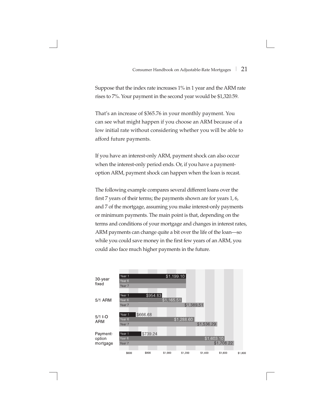Suppose that the index rate increases 1% in 1 year and the ARM rate rises to 7%. Your payment in the second year would be \$1,320.59.

 That's an increase of \$365.76 in your monthly payment. You can see what might happen if you choose an ARM because of a low initial rate without considering whether you will be able to afford future payments.

 If you have an interest-only ARM, payment shock can also occur when the interest-only period ends. Or, if you have a paymentoption ARM, payment shock can happen when the loan is recast.

 The following example compares several different loans over the first 7 years of their terms; the payments shown are for years 1, 6, and 7 of the mortgage, assuming you make interest-only payments or minimum payments. The main point is that, depending on the terms and conditions of your mortgage and changes in interest rates, ARM payments can change quite a bit over the life of the loan—so while you could save money in the first few years of an ARM, you could also face much higher payments in the future.

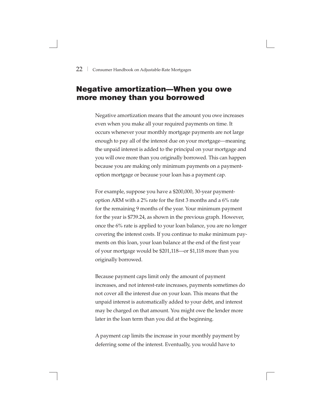## **Negative amortization—When you owe more money than you borrowed**

 Negative amortization means that the amount you owe increases even when you make all your required payments on time. It occurs whenever your monthly mortgage payments are not large enough to pay all of the interest due on your mortgage—meaning the unpaid interest is added to the principal on your mortgage and you will owe more than you originally borrowed. This can happen because you are making only minimum payments on a paymentoption mortgage or because your loan has a payment cap.

 For example, suppose you have a \$200,000, 30-year paymentoption ARM with a 2% rate for the first 3 months and a 6% rate for the remaining 9 months of the year. Your minimum payment for the year is \$739.24, as shown in the previous graph. However, once the 6% rate is applied to your loan balance, you are no longer covering the interest costs. If you continue to make minimum payments on this loan, your loan balance at the end of the first year of your mortgage would be \$201,118—or \$1,118 more than you originally borrowed.

 Because payment caps limit only the amount of payment increases, and not interest-rate increases, payments sometimes do not cover all the interest due on your loan. This means that the unpaid interest is automatically added to your debt, and interest may be charged on that amount. You might owe the lender more later in the loan term than you did at the beginning.

 A payment cap limits the increase in your monthly payment by deferring some of the interest. Eventually, you would have to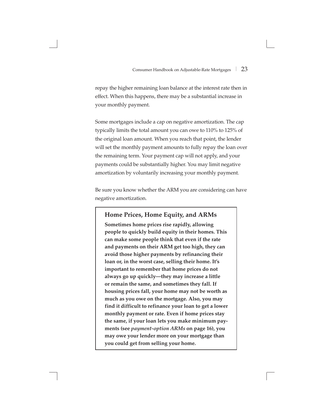repay the higher remaining loan balance at the interest rate then in effect. When this happens, there may be a substantial increase in your monthly payment.

 Some mortgages include a cap on negative amortization. The cap typically limits the total amount you can owe to 110% to 125% of the original loan amount. When you reach that point, the lender will set the monthly payment amounts to fully repay the loan over the remaining term. Your payment cap will not apply, and your payments could be substantially higher. You may limit negative amortization by voluntarily increasing your monthly payment.

 Be sure you know whether the ARM you are considering can have negative amortization.

## **Home Prices, Home Equity, and ARMs**

**Sometimes home prices rise rapidly, allowing people to quickly build equity in their homes. This can make some people think that even if the rate and payments on their ARM get too high, they can avoid those higher payments by refinancing their loan or, in the worst case, selling their home. It's important to remember that home prices do not always go up quickly—they may increase a little or remain the same, and sometimes they fall. If housing prices fall, your home may not be worth as much as you owe on the mortgage. Also, you may find it difficult to refinance your loan to get a lower monthly payment or rate. Even if home prices stay the same, if your loan lets you make minimum payments (see** *payment-option ARMs* **on page 16), you may owe your lender more on your mortgage than you could get from selling your home.**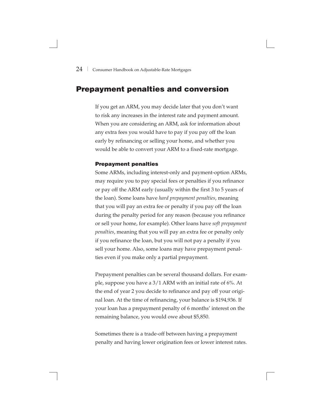## **Prepayment penalties and conversion**

 If you get an ARM, you may decide later that you don't want to risk any increases in the interest rate and payment amount. When you are considering an ARM, ask for information about any extra fees you would have to pay if you pay off the loan early by refinancing or selling your home, and whether you would be able to convert your ARM to a fixed-rate mortgage.

#### **Prepayment penalties**

 Some ARMs, including interest-only and payment-option ARMs, may require you to pay special fees or penalties if you refinance or pay off the ARM early (usually within the first 3 to 5 years of the loan). Some loans have *hard prepayment penalties*, meaning that you will pay an extra fee or penalty if you pay off the loan during the penalty period for any reason (because you refinance or sell your home, for example). Other loans have *soft prepayment penalties*, meaning that you will pay an extra fee or penalty only if you refinance the loan, but you will not pay a penalty if you sell your home. Also, some loans may have prepayment penalties even if you make only a partial prepayment.

 Prepayment penalties can be several thousand dollars. For example, suppose you have a 3/1 ARM with an initial rate of 6%. At the end of year 2 you decide to refinance and pay off your original loan. At the time of refinancing, your balance is \$194,936. If your loan has a prepayment penalty of 6 months' interest on the remaining balance, you would owe about \$5,850.

 Sometimes there is a trade-off between having a prepayment penalty and having lower origination fees or lower interest rates.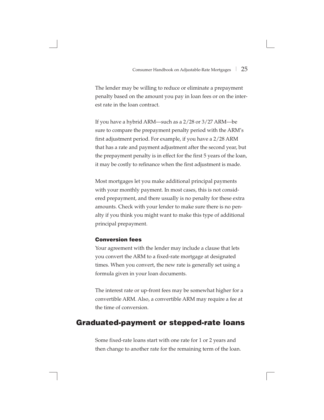The lender may be willing to reduce or eliminate a prepayment penalty based on the amount you pay in loan fees or on the interest rate in the loan contract.

 If you have a hybrid ARM—such as a 2/28 or 3/27 ARM—be sure to compare the prepayment penalty period with the ARM's first adjustment period. For example, if you have a 2/28 ARM that has a rate and payment adjustment after the second year, but the prepayment penalty is in effect for the first 5 years of the loan, it may be costly to refinance when the first adjustment is made.

 Most mortgages let you make additional principal payments with your monthly payment. In most cases, this is not considered prepayment, and there usually is no penalty for these extra amounts. Check with your lender to make sure there is no penalty if you think you might want to make this type of additional principal prepayment.

#### **Conversion fees**

 Your agreement with the lender may include a clause that lets you convert the ARM to a fixed-rate mortgage at designated times. When you convert, the new rate is generally set using a formula given in your loan documents.

 The interest rate or up-front fees may be somewhat higher for a convertible ARM. Also, a convertible ARM may require a fee at the time of conversion.

## **Graduated-payment or stepped-rate loans**

 Some fixed-rate loans start with one rate for 1 or 2 years and then change to another rate for the remaining term of the loan.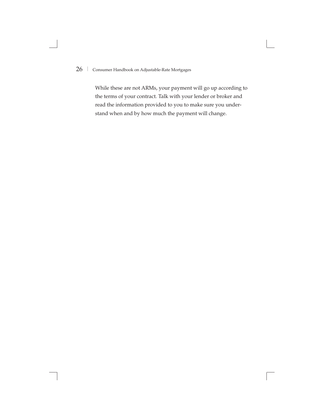While these are not ARMs, your payment will go up according to the terms of your contract. Talk with your lender or broker and read the information provided to you to make sure you understand when and by how much the payment will change.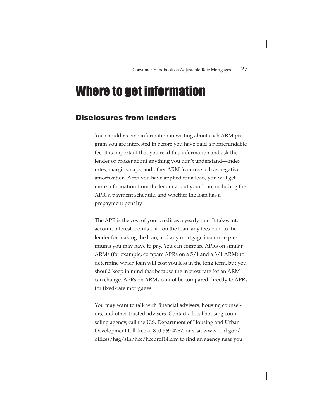# Where to get information

## **Disclosures from lenders**

 You should receive information in writing about each ARM program you are interested in before you have paid a nonrefundable fee. It is important that you read this information and ask the lender or broker about anything you don't understand—index rates, margins, caps, and other ARM features such as negative amortization. After you have applied for a loan, you will get more information from the lender about your loan, including the APR, a payment schedule, and whether the loan has a prepayment penalty.

 The APR is the cost of your credit as a yearly rate. It takes into account interest, points paid on the loan, any fees paid to the lender for making the loan, and any mortgage insurance premiums you may have to pay. You can compare APRs on similar ARMs (for example, compare APRs on a 5/1 and a 3/1 ARM) to determine which loan will cost you less in the long term, but you should keep in mind that because the interest rate for an ARM can change, APRs on ARMs cannot be compared directly to APRs for fixed-rate mortgages.

 You may want to talk with financial advisers, housing counselors, and other trusted advisers. Contact a local housing counseling agency, call the U.S. Department of Housing and Urban Development toll-free at 800-569-4287, or visit www.hud.gov/ offices/hsg/sfh/hcc/hccprof14.cfm to find an agency near you.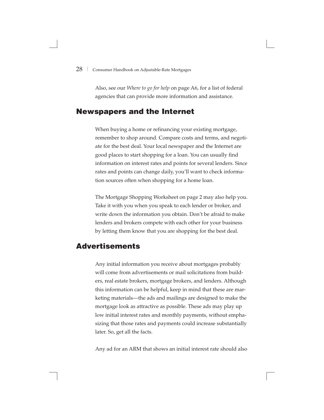Also, see our *Where to go for help* on page A6, for a list of federal agencies that can provide more information and assistance.

### **Newspapers and the Internet**

 When buying a home or refinancing your existing mortgage, remember to shop around. Compare costs and terms, and negotiate for the best deal. Your local newspaper and the Internet are good places to start shopping for a loan. You can usually find information on interest rates and points for several lenders. Since rates and points can change daily, you'll want to check information sources often when shopping for a home loan.

 The Mortgage Shopping Worksheet on page 2 may also help you. Take it with you when you speak to each lender or broker, and write down the information you obtain. Don't be afraid to make lenders and brokers compete with each other for your business by letting them know that you are shopping for the best deal.

## **Advertisements**

 Any initial information you receive about mortgages probably will come from advertisements or mail solicitations from builders, real estate brokers, mortgage brokers, and lenders. Although this information can be helpful, keep in mind that these are marketing materials—the ads and mailings are designed to make the mortgage look as attractive as possible. These ads may play up low initial interest rates and monthly payments, without emphasizing that those rates and payments could increase substantially later. So, get all the facts.

Any ad for an ARM that shows an initial interest rate should also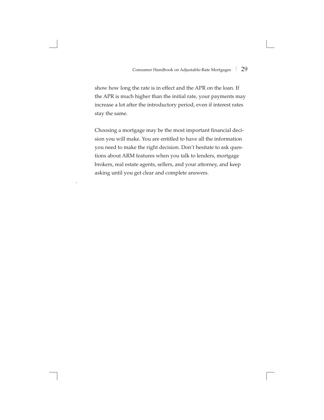show how long the rate is in effect and the APR on the loan. If the APR is much higher than the initial rate, your payments may increase a lot after the introductory period, even if interest rates stay the same.

 Choosing a mortgage may be the most important financial decision you will make. You are entitled to have all the information you need to make the right decision. Don't hesitate to ask questions about ARM features when you talk to lenders, mortgage brokers, real estate agents, sellers, and your attorney, and keep asking until you get clear and complete answers.

.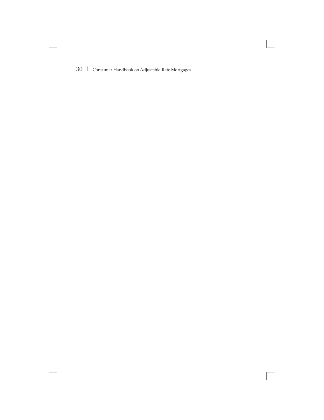## 30 | Consumer Handbook on Adjustable-Rate Mortgages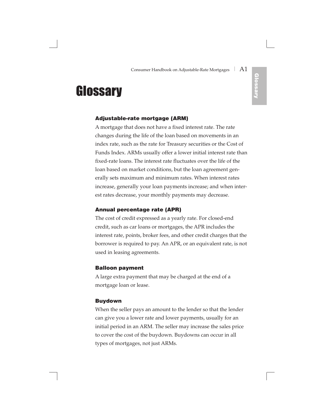# **Glossary**

#### **Adjustable-rate mortgage (ARM)**

 A mortgage that does not have a fixed interest rate. The rate changes during the life of the loan based on movements in an index rate, such as the rate for Treasury securities or the Cost of Funds Index. ARMs usually offer a lower initial interest rate than fixed-rate loans. The interest rate fluctuates over the life of the loan based on market conditions, but the loan agreement generally sets maximum and minimum rates. When interest rates increase, generally your loan payments increase; and when interest rates decrease, your monthly payments may decrease.

#### **Annual percentage rate (APR)**

 The cost of credit expressed as a yearly rate. For closed-end credit, such as car loans or mortgages, the APR includes the interest rate, points, broker fees, and other credit charges that the borrower is required to pay. An APR, or an equivalent rate, is not used in leasing agreements.

#### **Balloon payment**

 A large extra payment that may be charged at the end of a mortgage loan or lease.

#### **Buydown**

 When the seller pays an amount to the lender so that the lender can give you a lower rate and lower payments, usually for an initial period in an ARM. The seller may increase the sales price to cover the cost of the buydown. Buydowns can occur in all types of mortgages, not just ARMs.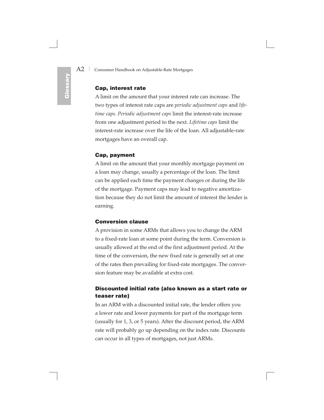#### **Cap, interest rate**

 A limit on the amount that your interest rate can increase. The two types of interest rate caps are *periodic adjustment caps* and *lifetime caps*. *Periodic adjustment caps* limit the interest-rate increase from one adjustment period to the next. *Lifetime caps* limit the interest-rate increase over the life of the loan. All adjustable-rate mortgages have an overall cap.

#### **Cap, payment**

 A limit on the amount that your monthly mortgage payment on a loan may change, usually a percentage of the loan. The limit can be applied each time the payment changes or during the life of the mortgage. Payment caps may lead to negative amortization because they do not limit the amount of interest the lender is earning.

#### **Conversion clause**

 A provision in some ARMs that allows you to change the ARM to a fixed-rate loan at some point during the term. Conversion is usually allowed at the end of the first adjustment period. At the time of the conversion, the new fixed rate is generally set at one of the rates then prevailing for fixed-rate mortgages. The conversion feature may be available at extra cost.

### **Discounted initial rate (also known as a start rate or teaser rate)**

 In an ARM with a discounted initial rate, the lender offers you a lower rate and lower payments for part of the mortgage term (usually for 1, 3, or 5 years). After the discount period, the ARM rate will probably go up depending on the index rate. Discounts can occur in all types of mortgages, not just ARMs.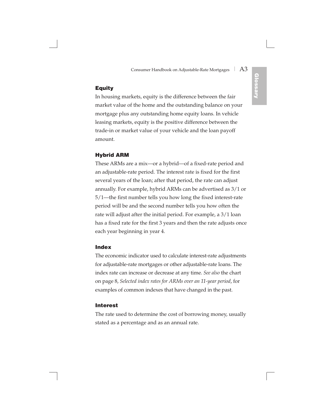### **Equity**

 In housing markets, equity is the difference between the fair market value of the home and the outstanding balance on your mortgage plus any outstanding home equity loans. In vehicle leasing markets, equity is the positive difference between the trade-in or market value of your vehicle and the loan payoff amount.

### **Hybrid ARM**

 These ARMs are a mix—or a hybrid—of a fixed-rate period and an adjustable-rate period. The interest rate is fixed for the first several years of the loan; after that period, the rate can adjust annually. For example, hybrid ARMs can be advertised as 3/1 or 5/1—the first number tells you how long the fixed interest-rate period will be and the second number tells you how often the rate will adjust after the initial period. For example, a 3/1 loan has a fixed rate for the first 3 years and then the rate adjusts once each year beginning in year 4.

### **Index**

 The economic indicator used to calculate interest-rate adjustments for adjustable-rate mortgages or other adjustable-rate loans. The index rate can increase or decrease at any time. *See also* the chart on page 8, *Selected index rates for ARMs over an 11-year period*, for examples of common indexes that have changed in the past.

### **Interest**

 The rate used to determine the cost of borrowing money, usually stated as a percentage and as an annual rate.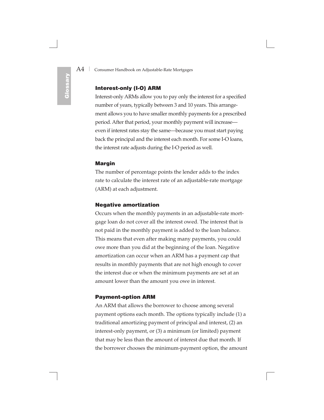#### **Interest-only (I-O) ARM**

 Interest-only ARMs allow you to pay only the interest for a specified number of years, typically between 3 and 10 years. This arrangement allows you to have smaller monthly payments for a prescribed period. After that period, your monthly payment will increase even if interest rates stay the same—because you must start paying back the principal and the interest each month. For some I-O loans, the interest rate adjusts during the I-O period as well.

#### **Margin**

 The number of percentage points the lender adds to the index rate to calculate the interest rate of an adjustable-rate mortgage (ARM) at each adjustment.

#### **Negative amortization**

 Occurs when the monthly payments in an adjustable-rate mortgage loan do not cover all the interest owed. The interest that is not paid in the monthly payment is added to the loan balance. This means that even after making many payments, you could owe more than you did at the beginning of the loan. Negative amortization can occur when an ARM has a payment cap that results in monthly payments that are not high enough to cover the interest due or when the minimum payments are set at an amount lower than the amount you owe in interest.

#### **Payment-option ARM**

 An ARM that allows the borrower to choose among several payment options each month. The options typically include (1) a traditional amortizing payment of principal and interest, (2) an interest-only payment, or (3) a minimum (or limited) payment that may be less than the amount of interest due that month. If the borrower chooses the minimum-payment option, the amount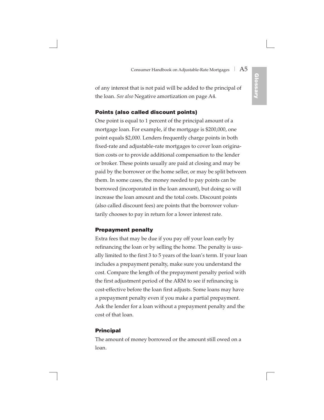of any interest that is not paid will be added to the principal of the loan. *See also* Negative amortization on page A4.

## **Points (also called discount points)**

 One point is equal to 1 percent of the principal amount of a mortgage loan. For example, if the mortgage is \$200,000, one point equals \$2,000. Lenders frequently charge points in both fixed-rate and adjustable-rate mortgages to cover loan origination costs or to provide additional compensation to the lender or broker. These points usually are paid at closing and may be paid by the borrower or the home seller, or may be split between them. In some cases, the money needed to pay points can be borrowed (incorporated in the loan amount), but doing so will increase the loan amount and the total costs. Discount points (also called discount fees) are points that the borrower voluntarily chooses to pay in return for a lower interest rate.

## **Prepayment penalty**

 Extra fees that may be due if you pay off your loan early by refinancing the loan or by selling the home. The penalty is usually limited to the first 3 to 5 years of the loan's term. If your loan includes a prepayment penalty, make sure you understand the cost. Compare the length of the prepayment penalty period with the first adjustment period of the ARM to see if refinancing is cost-effective before the loan first adjusts. Some loans may have a prepayment penalty even if you make a partial prepayment. Ask the lender for a loan without a prepayment penalty and the cost of that loan.

## **Principal**

 The amount of money borrowed or the amount still owed on a loan.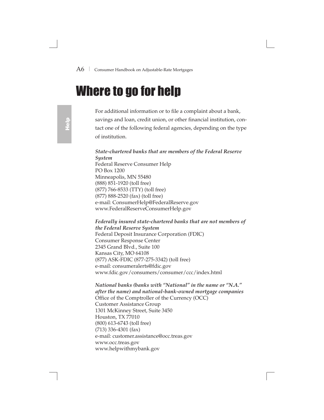# Where to go for help

 For additional information or to file a complaint about a bank, savings and loan, credit union, or other financial institution, contact one of the following federal agencies, depending on the type of institution.

#### *State-chartered banks that are members of the Federal Reserve System*

Federal Reserve Consumer Help PO Box 1200 Minneapolis, MN 55480 (888) 851-1920 (toll free) (877) 766-8533 (TTY) (toll free) (877) 888-2520 (fax) (toll free) e-mail: ConsumerHelp@FederalReserve.gov www.FederalReserveConsumerHelp.gov

*Federally insured state-chartered banks that are not members of the Federal Reserve System* Federal Deposit Insurance Corporation (FDIC) Consumer Response Center 2345 Grand Blvd., Suite 100 Kansas City, MO 64108 (877) ASK-FDIC (877-275-3342) (toll free) e-mail: consumeralerts@fdic.gov www.fdic.gov/consumers/consumer/ccc/index.html

*National banks (banks with "National" in the name or "N.A." after the name) and national-bank-owned mortgage companies* Office of the Comptroller of the Currency (OCC) Customer Assistance Group 1301 McKinney Street, Suite 3450 Houston, TX 77010 (800) 613-6743 (toll free) (713) 336-4301 (fax) e-mail: customer.assistance@occ.treas.gov www.occ.treas.gov www.helpwithmybank.gov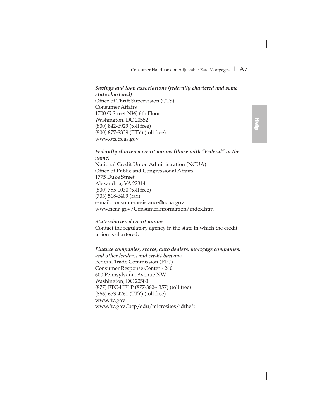*Savings and loan associations (federally chartered and some state chartered)* Office of Thrift Supervision (OTS) Consumer Affairs 1700 G Street NW, 6th Floor Washington, DC 20552 (800) 842-6929 (toll free) (800) 877-8339 (TTY) (toll free) www.ots.treas.gov

#### *Federally chartered credit unions (those with "Federal" in the name)*

National Credit Union Administration (NCUA) Office of Public and Congressional Affairs 1775 Duke Street Alexandria, VA 22314 (800) 755-1030 (toll free) (703) 518-6409 (fax) e-mail: consumerassistance@ncua.gov www.ncua.gov/ConsumerInformation/index.htm

#### *State-chartered credit unions*

Contact the regulatory agency in the state in which the credit union is chartered.

*Finance companies, stores, auto dealers, mortgage companies, and other lenders, and credit bureaus* Federal Trade Commission (FTC) Consumer Response Center - 240 600 Pennsylvania Avenue NW Washington, DC 20580 (877) FTC-HELP (877-382-4357) (toll free) (866) 653-4261 (TTY) (toll free) www.ftc.gov www.ftc.gov/bcp/edu/microsites/idtheft